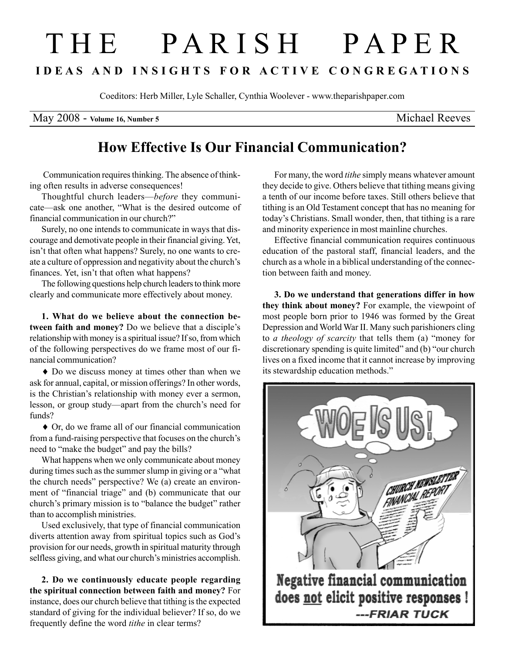## T H E P A R I S H P A P E R I D E A S A N D I N S I G H T S F O R A C T I V E C O N G R E G A T I O N S

Coeditors: Herb Miller, Lyle Schaller, Cynthia Woolever - www.theparishpaper.com

May 2008 - Volume 16, Number 5 Michael Reeves

## How Effective Is Our Financial Communication?

 Communication requires thinking. The absence of thinking often results in adverse consequences!

Thoughtful church leaders—before they communicate—ask one another, "What is the desired outcome of financial communication in our church?"

Surely, no one intends to communicate in ways that discourage and demotivate people in their financial giving. Yet, isn't that often what happens? Surely, no one wants to create a culture of oppression and negativity about the church's finances. Yet, isn't that often what happens?

The following questions help church leaders to think more clearly and communicate more effectively about money.

1. What do we believe about the connection between faith and money? Do we believe that a disciple's relationship with money is a spiritual issue? If so, from which of the following perspectives do we frame most of our financial communication?

♦ Do we discuss money at times other than when we ask for annual, capital, or mission offerings? In other words, is the Christian's relationship with money ever a sermon, lesson, or group study—apart from the church's need for funds?

♦ Or, do we frame all of our financial communication from a fund-raising perspective that focuses on the church's need to "make the budget" and pay the bills?

What happens when we only communicate about money during times such as the summer slump in giving or a "what the church needs" perspective? We (a) create an environment of "financial triage" and (b) communicate that our church's primary mission is to "balance the budget" rather than to accomplish ministries.

Used exclusively, that type of financial communication diverts attention away from spiritual topics such as God's provision for our needs, growth in spiritual maturity through selfless giving, and what our church's ministries accomplish.

2. Do we continuously educate people regarding the spiritual connection between faith and money? For instance, does our church believe that tithing is the expected standard of giving for the individual believer? If so, do we frequently define the word tithe in clear terms?

For many, the word *tithe* simply means whatever amount they decide to give. Others believe that tithing means giving a tenth of our income before taxes. Still others believe that tithing is an Old Testament concept that has no meaning for today's Christians. Small wonder, then, that tithing is a rare and minority experience in most mainline churches.

Effective financial communication requires continuous education of the pastoral staff, financial leaders, and the church as a whole in a biblical understanding of the connection between faith and money.

3. Do we understand that generations differ in how they think about money? For example, the viewpoint of most people born prior to 1946 was formed by the Great Depression and World War II. Many such parishioners cling to a theology of scarcity that tells them (a) "money for discretionary spending is quite limited" and (b) "our church lives on a fixed income that it cannot increase by improving its stewardship education methods."